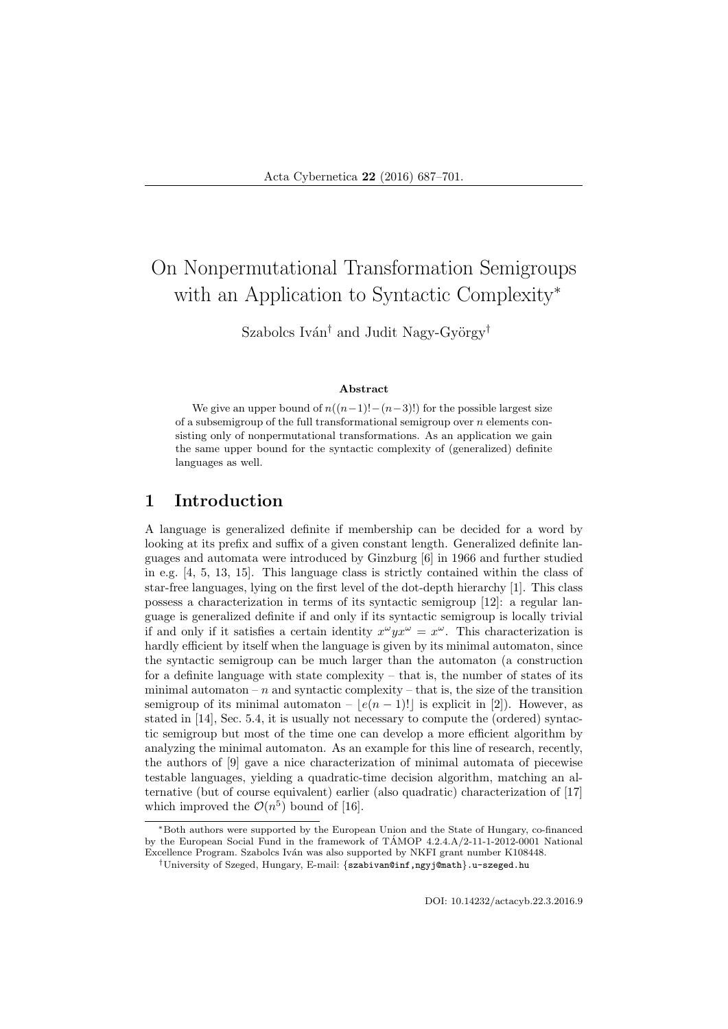# On Nonpermutational Transformation Semigroups with an Application to Syntactic Complexity<sup>∗</sup>

Szabolcs Iván<sup>†</sup> and Judit Nagy-György<sup>†</sup>

#### Abstract

We give an upper bound of  $n((n-1)!-(n-3)!)$  for the possible largest size of a subsemigroup of the full transformational semigroup over  $n$  elements consisting only of nonpermutational transformations. As an application we gain the same upper bound for the syntactic complexity of (generalized) definite languages as well.

# 1 Introduction

A language is generalized definite if membership can be decided for a word by looking at its prefix and suffix of a given constant length. Generalized definite languages and automata were introduced by Ginzburg [6] in 1966 and further studied in e.g. [4, 5, 13, 15]. This language class is strictly contained within the class of star-free languages, lying on the first level of the dot-depth hierarchy [1]. This class possess a characterization in terms of its syntactic semigroup [12]: a regular language is generalized definite if and only if its syntactic semigroup is locally trivial if and only if it satisfies a certain identity  $x^{\omega} y x^{\omega} = x^{\omega}$ . This characterization is hardly efficient by itself when the language is given by its minimal automaton, since the syntactic semigroup can be much larger than the automaton (a construction for a definite language with state complexity  $-$  that is, the number of states of its minimal automaton – n and syntactic complexity – that is, the size of the transition semigroup of its minimal automaton –  $|e(n - 1)!|$  is explicit in [2]). However, as stated in [14], Sec. 5.4, it is usually not necessary to compute the (ordered) syntactic semigroup but most of the time one can develop a more efficient algorithm by analyzing the minimal automaton. As an example for this line of research, recently, the authors of [9] gave a nice characterization of minimal automata of piecewise testable languages, yielding a quadratic-time decision algorithm, matching an alternative (but of course equivalent) earlier (also quadratic) characterization of [17] which improved the  $\mathcal{O}(n^5)$  bound of [16].

DOI: 10.14232/actacyb.22.3.2016.9

<sup>∗</sup>Both authors were supported by the European Union and the State of Hungary, co-financed by the European Social Fund in the framework of TÁMOP 4.2.4.A/2-11-1-2012-0001 National Excellence Program. Szabolcs Iván was also supported by NKFI grant number K108448.

<sup>†</sup>University of Szeged, Hungary, E-mail: {szabivan@inf,ngyj@math}.u-szeged.hu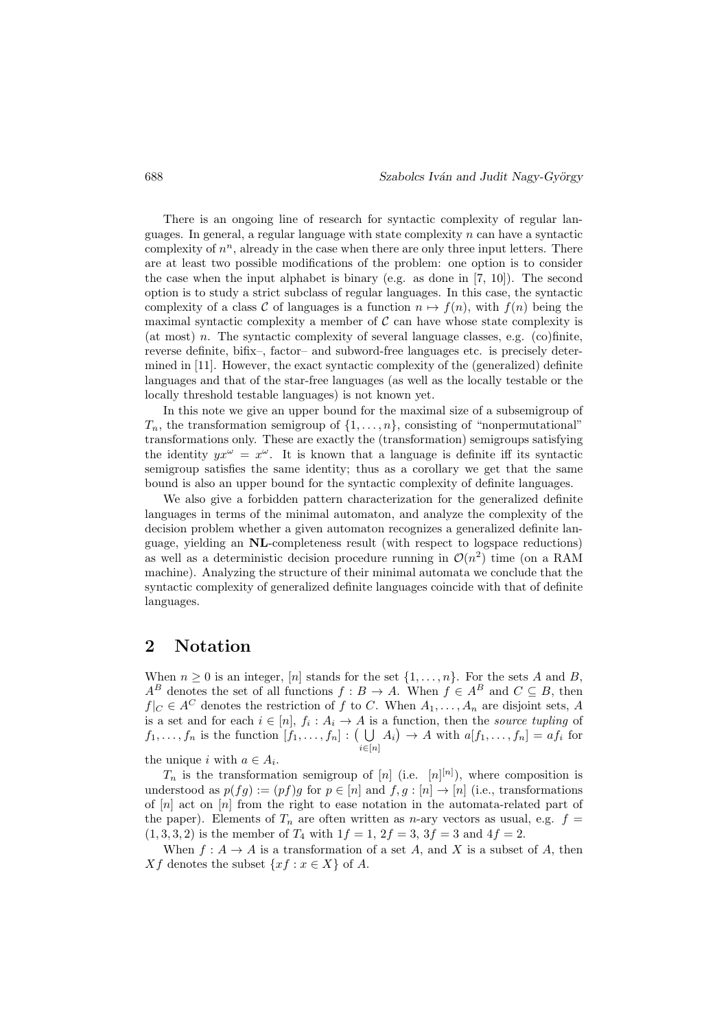There is an ongoing line of research for syntactic complexity of regular languages. In general, a regular language with state complexity  $n$  can have a syntactic complexity of  $n^n$ , already in the case when there are only three input letters. There are at least two possible modifications of the problem: one option is to consider the case when the input alphabet is binary (e.g. as done in  $[7, 10]$ ). The second option is to study a strict subclass of regular languages. In this case, the syntactic complexity of a class C of languages is a function  $n \mapsto f(n)$ , with  $f(n)$  being the maximal syntactic complexity a member of  $\mathcal C$  can have whose state complexity is (at most) n. The syntactic complexity of several language classes, e.g.  $(c)$  finite, reverse definite, bifix–, factor– and subword-free languages etc. is precisely determined in [11]. However, the exact syntactic complexity of the (generalized) definite languages and that of the star-free languages (as well as the locally testable or the locally threshold testable languages) is not known yet.

In this note we give an upper bound for the maximal size of a subsemigroup of  $T_n$ , the transformation semigroup of  $\{1, \ldots, n\}$ , consisting of "nonpermutational" transformations only. These are exactly the (transformation) semigroups satisfying the identity  $yx^{\omega} = x^{\omega}$ . It is known that a language is definite iff its syntactic semigroup satisfies the same identity; thus as a corollary we get that the same bound is also an upper bound for the syntactic complexity of definite languages.

We also give a forbidden pattern characterization for the generalized definite languages in terms of the minimal automaton, and analyze the complexity of the decision problem whether a given automaton recognizes a generalized definite language, yielding an NL-completeness result (with respect to logspace reductions) as well as a deterministic decision procedure running in  $\mathcal{O}(n^2)$  time (on a RAM machine). Analyzing the structure of their minimal automata we conclude that the syntactic complexity of generalized definite languages coincide with that of definite languages.

### 2 Notation

When  $n \geq 0$  is an integer, [n] stands for the set  $\{1, \ldots, n\}$ . For the sets A and B,  $A^B$  denotes the set of all functions  $f : B \to A$ . When  $f \in A^B$  and  $C \subseteq B$ , then  $f|_C \in A^C$  denotes the restriction of f to C. When  $A_1, \ldots, A_n$  are disjoint sets, A is a set and for each  $i \in [n]$ ,  $f_i : A_i \to A$  is a function, then the source tupling of  $f_1, \ldots, f_n$  is the function  $[f_1, \ldots, f_n] : (\bigcup_{i \in [n]} A_i) \to A$  with  $a[f_1, \ldots, f_n] = af_i$  for

the unique *i* with  $a \in A_i$ .

 $T_n$  is the transformation semigroup of [n] (i.e. [n]<sup>[n]</sup>), where composition is understood as  $p(fg) := (pf)g$  for  $p \in [n]$  and  $f, g : [n] \to [n]$  (i.e., transformations of  $[n]$  act on  $[n]$  from the right to ease notation in the automata-related part of the paper). Elements of  $T_n$  are often written as *n*-ary vectors as usual, e.g.  $f =$  $(1, 3, 3, 2)$  is the member of  $T_4$  with  $1f = 1$ ,  $2f = 3$ ,  $3f = 3$  and  $4f = 2$ .

When  $f: A \to A$  is a transformation of a set A, and X is a subset of A, then Xf denotes the subset  $\{xf : x \in X\}$  of A.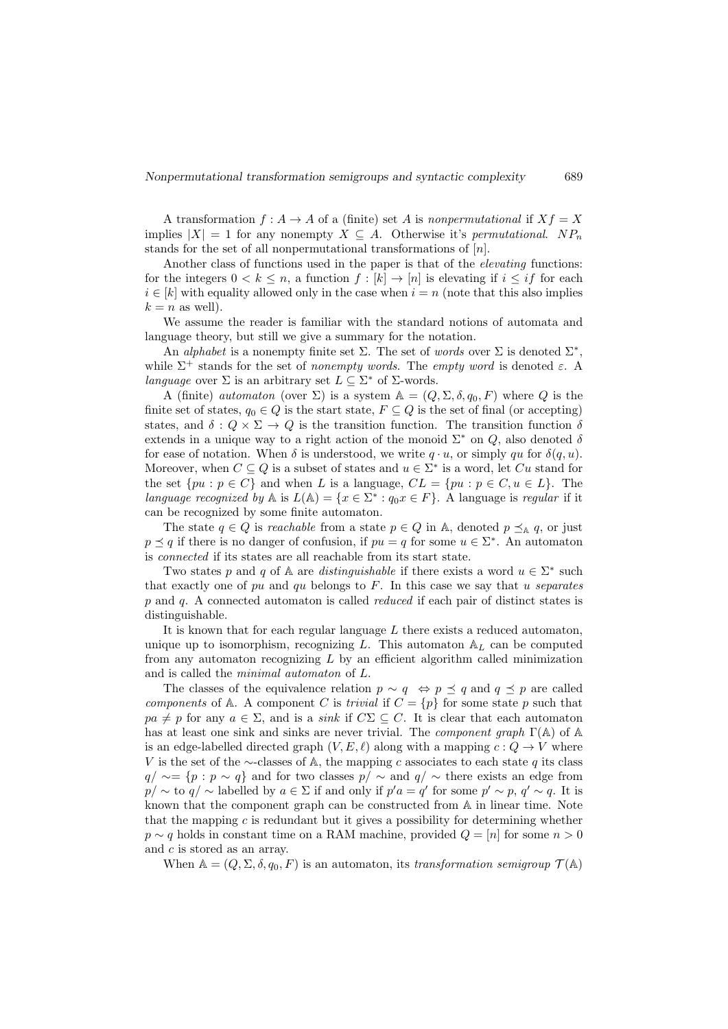A transformation  $f : A \to A$  of a (finite) set A is nonpermutational if  $Xf = X$ implies  $|X| = 1$  for any nonempty  $X \subseteq A$ . Otherwise it's permutational. NP<sub>n</sub> stands for the set of all nonpermutational transformations of [n].

Another class of functions used in the paper is that of the *elevating* functions: for the integers  $0 < k \leq n$ , a function  $f : [k] \to [n]$  is elevating if  $i \leq if$  for each  $i \in [k]$  with equality allowed only in the case when  $i = n$  (note that this also implies  $k = n$  as well).

We assume the reader is familiar with the standard notions of automata and language theory, but still we give a summary for the notation.

An alphabet is a nonempty finite set  $\Sigma$ . The set of words over  $\Sigma$  is denoted  $\Sigma^*$ , while  $\Sigma^+$  stands for the set of nonempty words. The empty word is denoted  $\varepsilon$ . language over  $\Sigma$  is an arbitrary set  $L \subseteq \Sigma^*$  of  $\Sigma$ -words.

A (finite) automaton (over  $\Sigma$ ) is a system  $\mathbb{A} = (Q, \Sigma, \delta, q_0, F)$  where Q is the finite set of states,  $q_0 \in Q$  is the start state,  $F \subseteq Q$  is the set of final (or accepting) states, and  $\delta: Q \times \Sigma \to Q$  is the transition function. The transition function  $\delta$ extends in a unique way to a right action of the monoid  $\Sigma^*$  on Q, also denoted  $\delta$ for ease of notation. When  $\delta$  is understood, we write  $q \cdot u$ , or simply qu for  $\delta(q, u)$ . Moreover, when  $C \subseteq Q$  is a subset of states and  $u \in \Sigma^*$  is a word, let Cu stand for the set  $\{pu : p \in C\}$  and when L is a language,  $CL = \{pu : p \in C, u \in L\}$ . The language recognized by A is  $L(\mathbb{A}) = \{x \in \Sigma^* : q_0 x \in F\}$ . A language is regular if it can be recognized by some finite automaton.

The state  $q \in Q$  is *reachable* from a state  $p \in Q$  in A, denoted  $p \preceq_{\mathbb{A}} q$ , or just  $p \preceq q$  if there is no danger of confusion, if  $pu = q$  for some  $u \in \Sigma^*$ . An automaton is connected if its states are all reachable from its start state.

Two states p and q of A are distinguishable if there exists a word  $u \in \Sigma^*$  such that exactly one of pu and qu belongs to  $F$ . In this case we say that u separates p and q. A connected automaton is called reduced if each pair of distinct states is distinguishable.

It is known that for each regular language  $L$  there exists a reduced automaton, unique up to isomorphism, recognizing  $L$ . This automaton  $A_L$  can be computed from any automaton recognizing  $L$  by an efficient algorithm called minimization and is called the minimal automaton of L.

The classes of the equivalence relation  $p \sim q \iff p \preceq q$  and  $q \preceq p$  are called components of A. A component C is trivial if  $C = \{p\}$  for some state p such that  $pa \neq p$  for any  $a \in \Sigma$ , and is a sink if  $C\Sigma \subseteq C$ . It is clear that each automaton has at least one sink and sinks are never trivial. The *component graph*  $\Gamma(\mathbb{A})$  of  $\mathbb{A}$ is an edge-labelled directed graph  $(V, E, \ell)$  along with a mapping  $c : Q \to V$  where V is the set of the  $\sim$ -classes of A, the mapping c associates to each state q its class  $q/\sim$  {p : p ∼ q} and for two classes  $p/\sim$  and  $q/\sim$  there exists an edge from  $p/\sim$  to  $q/\sim$  labelled by  $a\in\Sigma$  if and only if  $p'a=q'$  for some  $p'\sim p$ ,  $q'\sim q$ . It is known that the component graph can be constructed from A in linear time. Note that the mapping  $c$  is redundant but it gives a possibility for determining whether  $p \sim q$  holds in constant time on a RAM machine, provided  $Q = [n]$  for some  $n > 0$ and c is stored as an array.

When  $\mathbb{A} = (Q, \Sigma, \delta, q_0, F)$  is an automaton, its transformation semigroup  $\mathcal{T}(\mathbb{A})$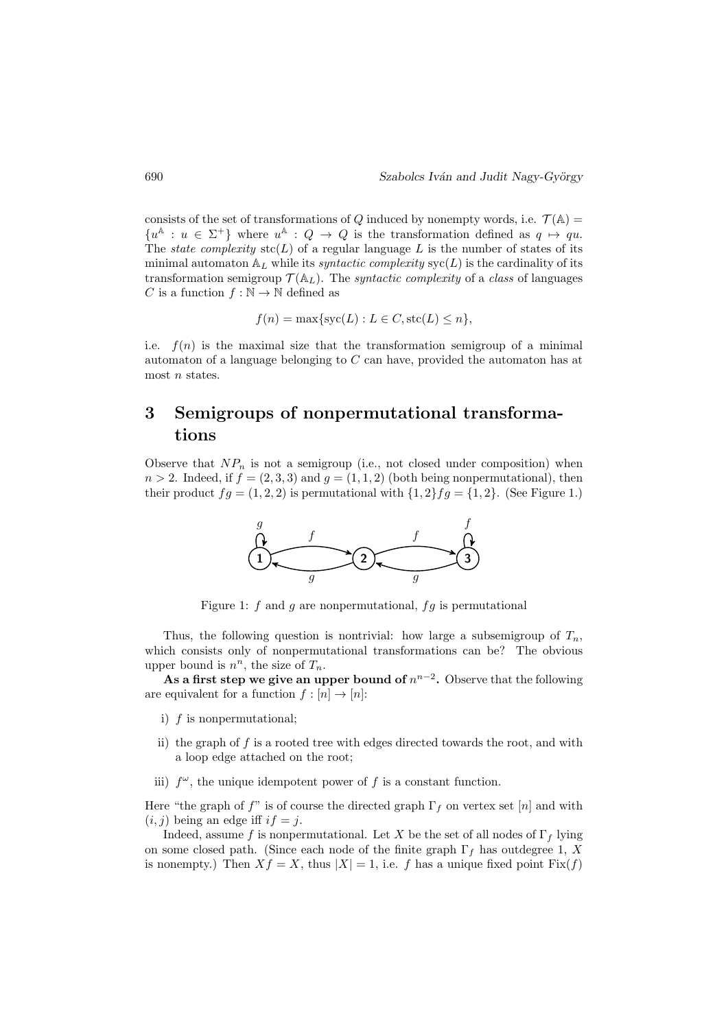consists of the set of transformations of Q induced by nonempty words, i.e.  $\mathcal{T}(\mathbb{A}) =$  $\{u^{\mathbb{A}}: u \in \Sigma^+\}$  where  $u^{\mathbb{A}}: Q \to Q$  is the transformation defined as  $q \mapsto qu$ . The *state complexity*  $\text{stc}(L)$  of a regular language L is the number of states of its minimal automaton  $A_L$  while its *syntactic complexity*  $\text{svc}(L)$  is the cardinality of its transformation semigroup  $\mathcal{T}(\mathbb{A}_L)$ . The *syntactic complexity* of a *class* of languages C is a function  $f : \mathbb{N} \to \mathbb{N}$  defined as

$$
f(n) = \max\{\text{syc}(L) : L \in C, \text{stc}(L) \le n\},\
$$

i.e.  $f(n)$  is the maximal size that the transformation semigroup of a minimal automaton of a language belonging to C can have, provided the automaton has at most *n* states.

# 3 Semigroups of nonpermutational transformations

Observe that  $NP_n$  is not a semigroup (i.e., not closed under composition) when  $n > 2$ . Indeed, if  $f = (2, 3, 3)$  and  $g = (1, 1, 2)$  (both being nonpermutational), then their product  $fg = (1, 2, 2)$  is permutational with  $\{1, 2\}fg = \{1, 2\}$ . (See Figure 1.)



Figure 1:  $f$  and  $g$  are nonpermutational,  $fg$  is permutational

Thus, the following question is nontrivial: how large a subsemigroup of  $T_n$ . which consists only of nonpermutational transformations can be? The obvious upper bound is  $n^n$ , the size of  $T_n$ .

As a first step we give an upper bound of  $n^{n-2}$ . Observe that the following are equivalent for a function  $f : [n] \to [n]$ :

- i) f is nonpermutational;
- ii) the graph of  $f$  is a rooted tree with edges directed towards the root, and with a loop edge attached on the root;
- iii)  $f^{\omega}$ , the unique idempotent power of f is a constant function.

Here "the graph of  $f$ " is of course the directed graph  $\Gamma_f$  on vertex set [n] and with  $(i, j)$  being an edge iff  $if = j$ .

Indeed, assume f is nonpermutational. Let X be the set of all nodes of  $\Gamma_f$  lying on some closed path. (Since each node of the finite graph  $\Gamma_f$  has outdegree 1, X is nonempty.) Then  $Xf = X$ , thus  $|X| = 1$ , i.e. f has a unique fixed point  $Fix(f)$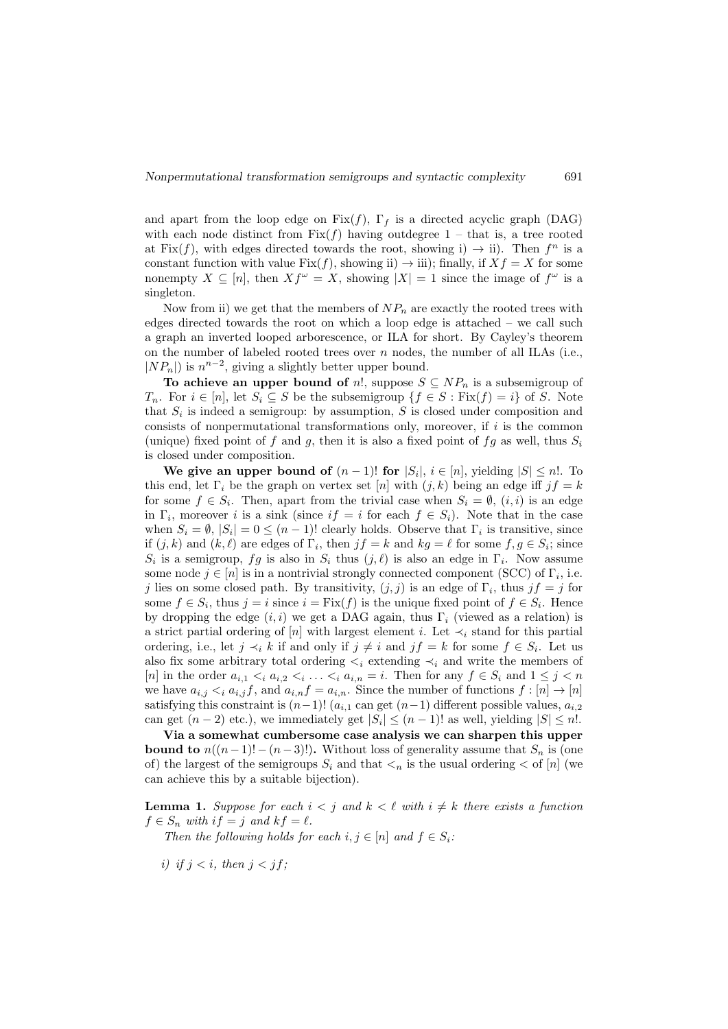and apart from the loop edge on  $Fix(f)$ ,  $\Gamma_f$  is a directed acyclic graph (DAG) with each node distinct from  $Fix(f)$  having outdegree  $1$  – that is, a tree rooted at Fix(f), with edges directed towards the root, showing i)  $\rightarrow$  ii). Then  $f^n$  is a constant function with value Fix $(f)$ , showing ii)  $\rightarrow$  iii); finally, if  $Xf = X$  for some nonempty  $X \subseteq [n]$ , then  $Xf^{\omega} = X$ , showing  $|X| = 1$  since the image of  $f^{\omega}$  is a singleton.

Now from ii) we get that the members of  $NP_n$  are exactly the rooted trees with edges directed towards the root on which a loop edge is attached – we call such a graph an inverted looped arborescence, or ILA for short. By Cayley's theorem on the number of labeled rooted trees over  $n$  nodes, the number of all ILAs (i.e.,  $|NP_n|$  is  $n^{n-2}$ , giving a slightly better upper bound.

To achieve an upper bound of n!, suppose  $S \subseteq NP_n$  is a subsemigroup of  $T_n$ . For  $i \in [n]$ , let  $S_i \subseteq S$  be the subsemigroup  $\{f \in S : \text{Fix}(f) = i\}$  of S. Note that  $S_i$  is indeed a semigroup: by assumption, S is closed under composition and consists of nonpermutational transformations only, moreover, if  $i$  is the common (unique) fixed point of f and g, then it is also a fixed point of fg as well, thus  $S_i$ is closed under composition.

We give an upper bound of  $(n-1)!$  for  $|S_i|, i \in [n]$ , yielding  $|S| \leq n!$ . To this end, let  $\Gamma_i$  be the graph on vertex set [n] with  $(j, k)$  being an edge iff  $jf = k$ for some  $f \in S_i$ . Then, apart from the trivial case when  $S_i = \emptyset$ ,  $(i, i)$  is an edge in  $\Gamma_i$ , moreover i is a sink (since if = i for each  $f \in S_i$ ). Note that in the case when  $S_i = \emptyset$ ,  $|S_i| = 0 \leq (n-1)!$  clearly holds. Observe that  $\Gamma_i$  is transitive, since if  $(j, k)$  and  $(k, \ell)$  are edges of  $\Gamma_i$ , then  $jf = k$  and  $kg = \ell$  for some  $f, g \in S_i$ ; since  $S_i$  is a semigroup, fg is also in  $S_i$  thus  $(j, \ell)$  is also an edge in  $\Gamma_i$ . Now assume some node  $j \in [n]$  is in a nontrivial strongly connected component (SCC) of  $\Gamma_i$ , i.e. j lies on some closed path. By transitivity,  $(j, j)$  is an edge of  $\Gamma_i$ , thus  $jf = j$  for some  $f \in S_i$ , thus  $j = i$  since  $i = \text{Fix}(f)$  is the unique fixed point of  $f \in S_i$ . Hence by dropping the edge  $(i, i)$  we get a DAG again, thus  $\Gamma_i$  (viewed as a relation) is a strict partial ordering of [n] with largest element i. Let  $\prec_i$  stand for this partial ordering, i.e., let  $j \prec_i k$  if and only if  $j \neq i$  and  $jf = k$  for some  $f \in S_i$ . Let us also fix some arbitrary total ordering  $\lt_i$  extending  $\lt_i$  and write the members of [n] in the order  $a_{i,1} < i a_{i,2} < i \ldots < i a_{i,n} = i$ . Then for any  $f \in S_i$  and  $1 \le j < n$ we have  $a_{i,j} \lt_i a_{i,j} f$ , and  $a_{i,n} f = a_{i,n}$ . Since the number of functions  $f : [n] \to [n]$ satisfying this constraint is  $(n-1)!$   $(a_{i,1}$  can get  $(n-1)$  different possible values,  $a_{i,2}$ can get  $(n-2)$  etc.), we immediately get  $|S_i| \le (n-1)!$  as well, yielding  $|S| \le n!$ .

Via a somewhat cumbersome case analysis we can sharpen this upper **bound to**  $n((n-1)!-(n-3)!)$ . Without loss of generality assume that  $S_n$  is (one of) the largest of the semigroups  $S_i$  and that  $\lt_n$  is the usual ordering  $\lt$  of [n] (we can achieve this by a suitable bijection).

**Lemma 1.** Suppose for each  $i < j$  and  $k < \ell$  with  $i \neq k$  there exists a function  $f \in S_n$  with  $if = j$  and  $kf = \ell$ .

Then the following holds for each  $i, j \in [n]$  and  $f \in S_i$ :

i) if  $i < i$ , then  $i < if$ :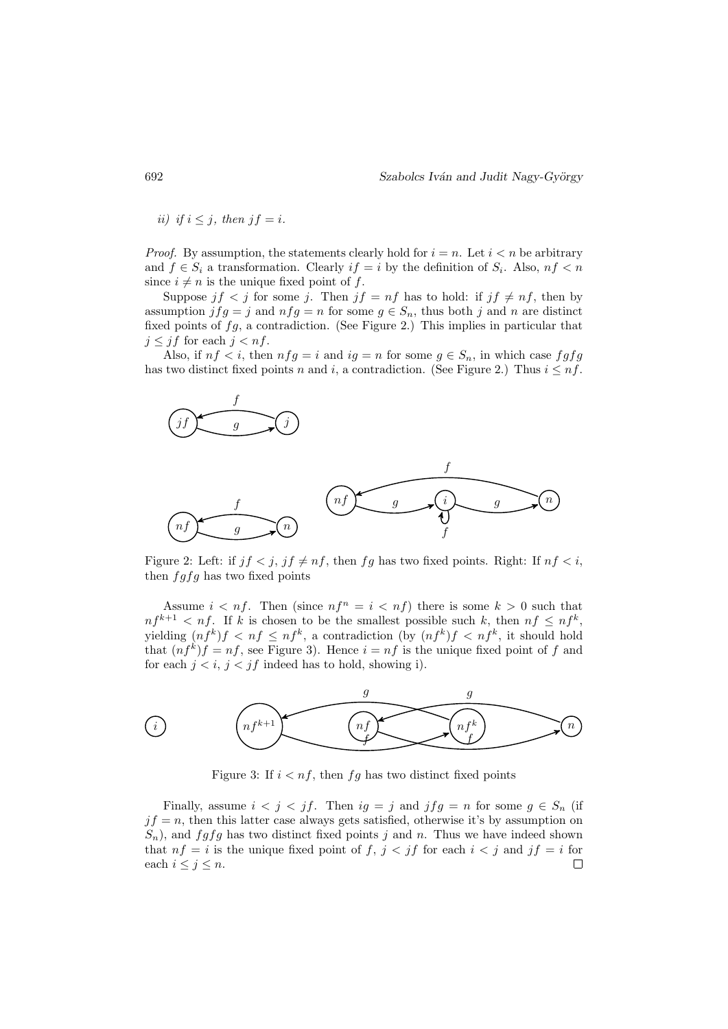ii) if  $i \leq j$ , then  $jf = i$ .

*Proof.* By assumption, the statements clearly hold for  $i = n$ . Let  $i < n$  be arbitrary and  $f \in S_i$  a transformation. Clearly  $if = i$  by the definition of  $S_i$ . Also,  $nf < n$ since  $i \neq n$  is the unique fixed point of f.

Suppose  $jf < j$  for some j. Then  $jf = nf$  has to hold: if  $jf \neq nf$ , then by assumption  $jfg = j$  and  $nfg = n$  for some  $g \in S_n$ , thus both j and n are distinct fixed points of  $fg$ , a contradiction. (See Figure 2.) This implies in particular that  $j \leq jf$  for each  $j < nf$ .

Also, if  $nf < i$ , then  $nfg = i$  and  $ig = n$  for some  $g \in S_n$ , in which case  $fgfg$ has two distinct fixed points n and i, a contradiction. (See Figure 2.) Thus  $i \leq nf$ .



Figure 2: Left: if  $jf < j$ ,  $jf \neq nf$ , then fg has two fixed points. Right: If  $nf < i$ , then  $fgfg$  has two fixed points

Assume  $i < nf$ . Then (since  $nf^n = i < nf$ ) there is some  $k > 0$  such that  $nf^{k+1} < nf$ . If k is chosen to be the smallest possible such k, then  $nf \leq nf^k$ , yielding  $(n f^k) f < n f \leq n f^k$ , a contradiction (by  $(n f^k) f < n f^k$ , it should hold that  $(n f^k) f = nf$ , see Figure 3). Hence  $i = nf$  is the unique fixed point of f and for each  $j < i$ ,  $j < jf$  indeed has to hold, showing i).



Figure 3: If  $i < nf$ , then fg has two distinct fixed points

Finally, assume  $i < j < jf$ . Then  $ig = j$  and  $jfg = n$  for some  $g \in S_n$  (if  $jf = n$ , then this latter case always gets satisfied, otherwise it's by assumption on  $S_n$ , and  $fgfg$  has two distinct fixed points j and n. Thus we have indeed shown that  $nf = i$  is the unique fixed point of  $f, j < jf$  for each  $i < j$  and  $jf = i$  for each  $i \leq j \leq n$ .  $\Box$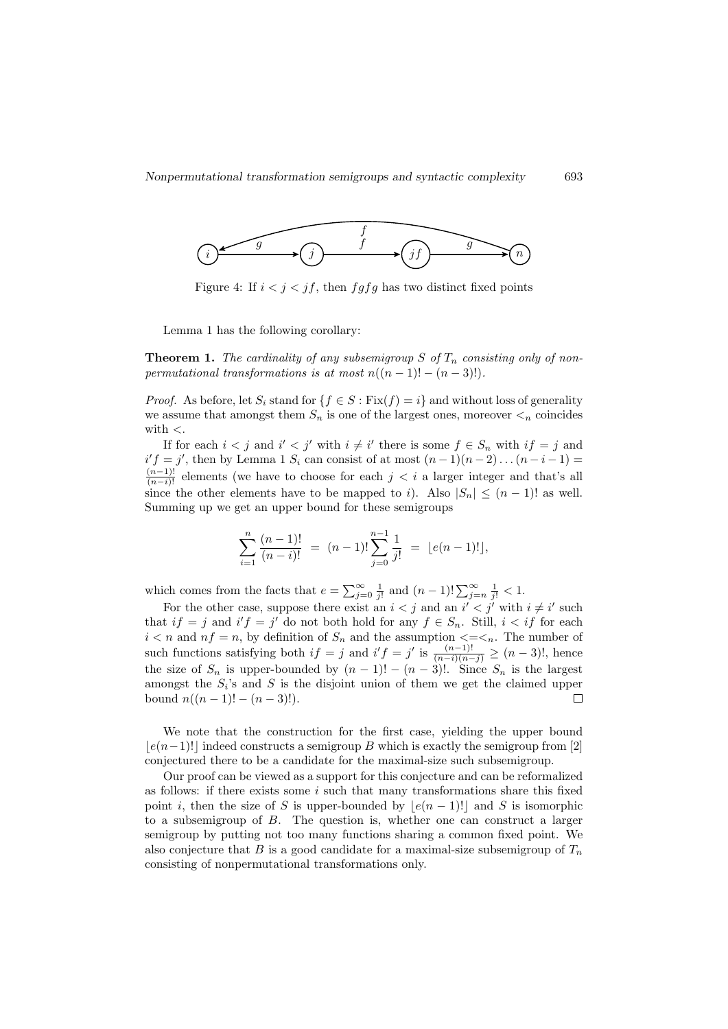

Figure 4: If  $i < j < jf$ , then  $f g f g$  has two distinct fixed points

Lemma 1 has the following corollary:

**Theorem 1.** The cardinality of any subsemigroup S of  $T_n$  consisting only of nonpermutational transformations is at most  $n((n-1)! - (n-3)!)$ .

*Proof.* As before, let  $S_i$  stand for  $\{f \in S : \text{Fix}(f) = i\}$  and without loss of generality we assume that amongst them  $S_n$  is one of the largest ones, moreover  $\lt_n$  coincides with  $\lt$ .

If for each  $i < j$  and  $i' < j'$  with  $i \neq i'$  there is some  $f \in S_n$  with  $if = j$  and  $i'f = j'$ , then by Lemma 1  $S_i$  can consist of at most  $(n-1)(n-2)...(n-i-1)$  $\frac{(n-1)!}{(n-i)!}$  elements (we have to choose for each  $j < i$  a larger integer and that's all since the other elements have to be mapped to i). Also  $|S_n| \leq (n-1)!$  as well. Summing up we get an upper bound for these semigroups

$$
\sum_{i=1}^{n} \frac{(n-1)!}{(n-i)!} = (n-1)! \sum_{j=0}^{n-1} \frac{1}{j!} = \lfloor e(n-1)! \rfloor,
$$

which comes from the facts that  $e = \sum_{j=0}^{\infty} \frac{1}{j!}$  and  $(n-1)! \sum_{j=n}^{\infty} \frac{1}{j!} < 1$ .

For the other case, suppose there exist an  $i < j$  and an  $i' < j'$  with  $i \neq i'$  such that  $if = j$  and  $i'f = j'$  do not both hold for any  $f \in S_n$ . Still,  $i < if$  for each  $i < n$  and  $nf = n$ , by definition of  $S_n$  and the assumption  $\lt = \lt_n$ . The number of such functions satisfying both  $if = j$  and  $i'f = j'$  is  $\frac{(n-1)!}{(n-i)(n-j)} \ge (n-3)!$ , hence the size of  $S_n$  is upper-bounded by  $(n-1)! - (n-3)!$ . Since  $S_n$  is the largest amongst the  $S_i$ 's and S is the disjoint union of them we get the claimed upper bound  $n((n-1)! - (n-3)!).$  $\Box$ 

We note that the construction for the first case, yielding the upper bound  $\lfloor e(n-1)! \rfloor$  indeed constructs a semigroup B which is exactly the semigroup from [2] conjectured there to be a candidate for the maximal-size such subsemigroup.

Our proof can be viewed as a support for this conjecture and can be reformalized as follows: if there exists some  $i$  such that many transformations share this fixed point i, then the size of S is upper-bounded by  $\lfloor e(n - 1)! \rfloor$  and S is isomorphic to a subsemigroup of B. The question is, whether one can construct a larger semigroup by putting not too many functions sharing a common fixed point. We also conjecture that B is a good candidate for a maximal-size subsemigroup of  $T_n$ consisting of nonpermutational transformations only.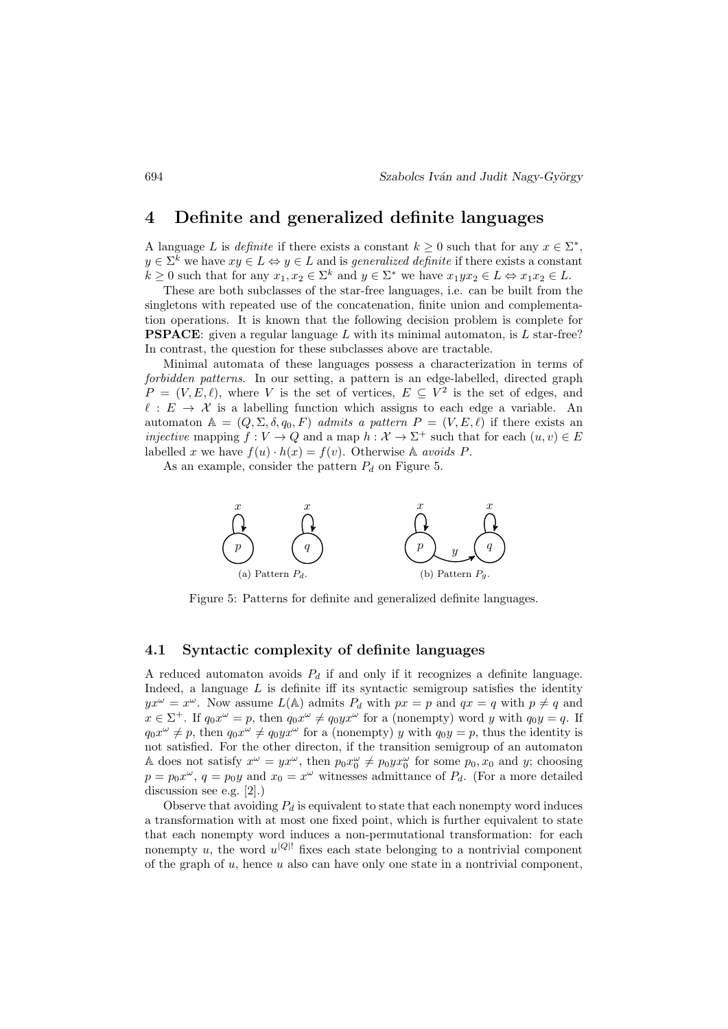## 4 Definite and generalized definite languages

A language L is *definite* if there exists a constant  $k \geq 0$  such that for any  $x \in \Sigma^*$ ,  $y \in \Sigma^k$  we have  $xy \in L \Leftrightarrow y \in L$  and is *generalized definite* if there exists a constant  $k \geq 0$  such that for any  $x_1, x_2 \in \Sigma^k$  and  $y \in \Sigma^*$  we have  $x_1 y x_2 \in L \Leftrightarrow x_1 x_2 \in L$ .

These are both subclasses of the star-free languages, i.e. can be built from the singletons with repeated use of the concatenation, finite union and complementation operations. It is known that the following decision problem is complete for **PSPACE:** given a regular language L with its minimal automaton, is L star-free? In contrast, the question for these subclasses above are tractable.

Minimal automata of these languages possess a characterization in terms of forbidden patterns. In our setting, a pattern is an edge-labelled, directed graph  $P = (V, E, \ell)$ , where V is the set of vertices,  $E \subseteq V^2$  is the set of edges, and  $\ell : E \to \mathcal{X}$  is a labelling function which assigns to each edge a variable. An automaton  $A = (Q, \Sigma, \delta, q_0, F)$  admits a pattern  $P = (V, E, \ell)$  if there exists an injective mapping  $f: V \to Q$  and a map  $h: \mathcal{X} \to \Sigma^+$  such that for each  $(u, v) \in E$ labelled x we have  $f(u) \cdot h(x) = f(v)$ . Otherwise A avoids P.

As an example, consider the pattern  $P_d$  on Figure 5.



Figure 5: Patterns for definite and generalized definite languages.

#### 4.1 Syntactic complexity of definite languages

A reduced automaton avoids  $P_d$  if and only if it recognizes a definite language. Indeed, a language  $L$  is definite iff its syntactic semigroup satisfies the identity  $yx^{\omega} = x^{\omega}$ . Now assume  $L(A)$  admits  $P_d$  with  $px = p$  and  $qx = q$  with  $p \neq q$  and  $x \in \Sigma^{+}$ . If  $q_0 x^{\omega} = p$ , then  $q_0 x^{\omega} \neq q_0 y x^{\omega}$  for a (nonempty) word y with  $q_0 y = q$ . If  $q_0x^{\omega} \neq p$ , then  $q_0x^{\omega} \neq q_0yx^{\omega}$  for a (nonempty) y with  $q_0y = p$ , thus the identity is not satisfied. For the other directon, if the transition semigroup of an automaton A does not satisfy  $x^{\omega} = yx^{\omega}$ , then  $p_0x_0^{\omega} \neq p_0yx_0^{\omega}$  for some  $p_0, x_0$  and y; choosing  $p = p_0 x^{\omega}$ ,  $q = p_0 y$  and  $x_0 = x^{\omega}$  witnesses admittance of  $P_d$ . (For a more detailed discussion see e.g. [2].)

Observe that avoiding  $P_d$  is equivalent to state that each nonempty word induces a transformation with at most one fixed point, which is further equivalent to state that each nonempty word induces a non-permutational transformation: for each nonempty u, the word  $u^{|Q|}$  fixes each state belonging to a nontrivial component of the graph of  $u$ , hence  $u$  also can have only one state in a nontrivial component.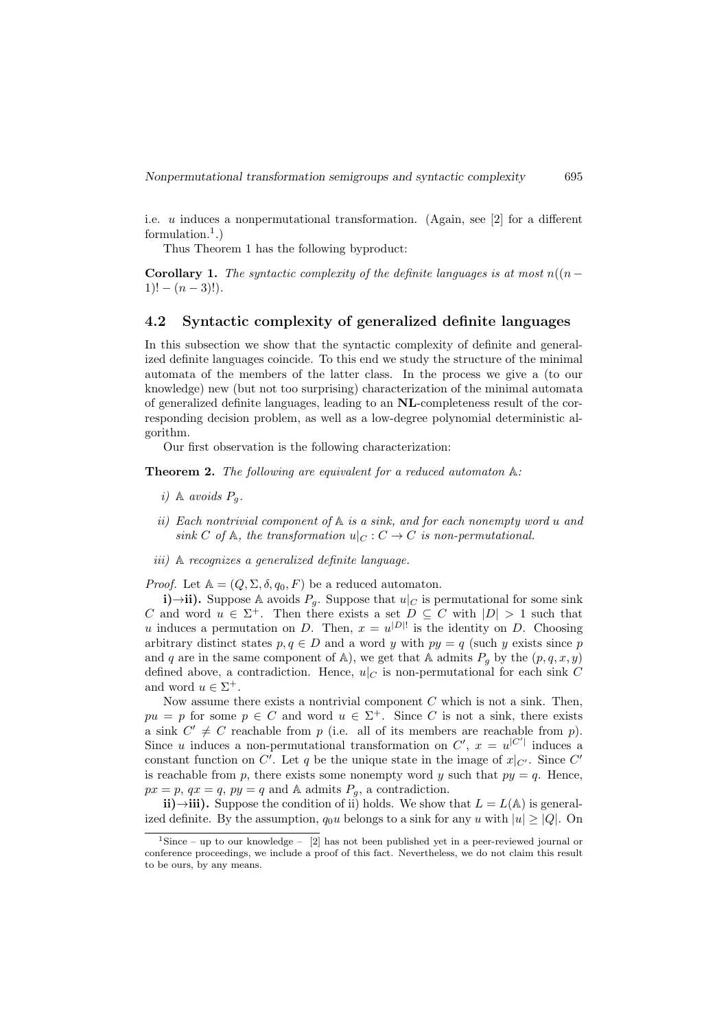i.e. u induces a nonpermutational transformation. (Again, see [2] for a different formulation.<sup>1</sup>.)

Thus Theorem 1 has the following byproduct:

**Corollary 1.** The syntactic complexity of the definite languages is at most  $n((n 1)! - (n-3)!$ .

#### 4.2 Syntactic complexity of generalized definite languages

In this subsection we show that the syntactic complexity of definite and generalized definite languages coincide. To this end we study the structure of the minimal automata of the members of the latter class. In the process we give a (to our knowledge) new (but not too surprising) characterization of the minimal automata of generalized definite languages, leading to an NL-completeness result of the corresponding decision problem, as well as a low-degree polynomial deterministic algorithm.

Our first observation is the following characterization:

**Theorem 2.** The following are equivalent for a reduced automaton  $A$ :

- i) A avoids  $P_a$ .
- ii) Each nontrivial component of  $A$  is a sink, and for each nonempty word u and sink C of A, the transformation  $u|_C : C \to C$  is non-permutational.
- iii) A recognizes a generalized definite language.

*Proof.* Let  $A = (Q, \Sigma, \delta, q_0, F)$  be a reduced automaton.

i)→ii). Suppose A avoids  $P<sub>g</sub>$ . Suppose that  $u|_C$  is permutational for some sink C and word  $u \in \Sigma^+$ . Then there exists a set  $D \subseteq C$  with  $|D| > 1$  such that u induces a permutation on D. Then,  $x = u^{|D|}$  is the identity on D. Choosing arbitrary distinct states  $p, q \in D$  and a word y with  $py = q$  (such y exists since p and q are in the same component of A), we get that A admits  $P_q$  by the  $(p, q, x, y)$ defined above, a contradiction. Hence,  $u|_C$  is non-permutational for each sink C and word  $u \in \Sigma^+$ .

Now assume there exists a nontrivial component  $C$  which is not a sink. Then,  $pu = p$  for some  $p \in C$  and word  $u \in \Sigma^{+}$ . Since C is not a sink, there exists a sink  $C' \neq C$  reachable from p (i.e. all of its members are reachable from p). Since u induces a non-permutational transformation on  $C'$ ,  $x = u^{|C'|}$  induces a constant function on C'. Let q be the unique state in the image of  $x|_{C'}$ . Since C' is reachable from p, there exists some nonempty word y such that  $py = q$ . Hence,  $px = p$ ,  $qx = q$ ,  $py = q$  and A admits  $P_g$ , a contradiction.

ii)→iii). Suppose the condition of ii) holds. We show that  $L = L(A)$  is generalized definite. By the assumption,  $q_0u$  belongs to a sink for any u with  $|u| \geq |Q|$ . On

<sup>&</sup>lt;sup>1</sup>Since – up to our knowledge – [2] has not been published yet in a peer-reviewed journal or conference proceedings, we include a proof of this fact. Nevertheless, we do not claim this result to be ours, by any means.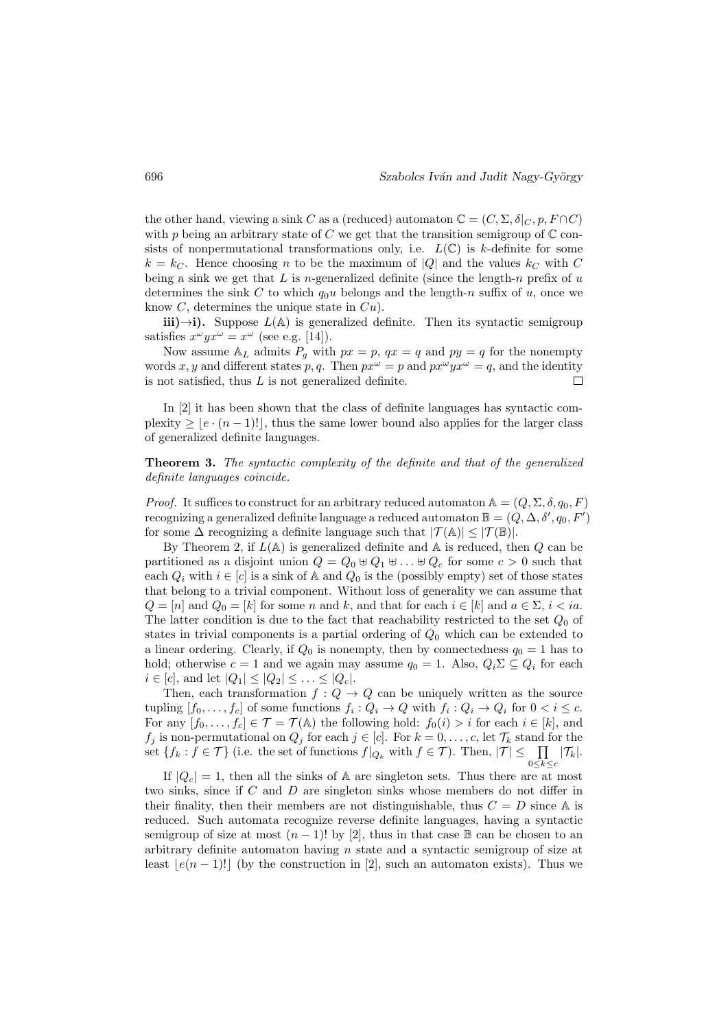the other hand, viewing a sink C as a (reduced) automaton  $\mathbb{C} = (C, \Sigma, \delta|_C, p, F \cap C)$ with p being an arbitrary state of C we get that the transition semigroup of  $\mathbb C$  consists of nonpermutational transformations only, i.e.  $L(\mathbb{C})$  is k-definite for some  $k = k<sub>C</sub>$ . Hence choosing n to be the maximum of |Q| and the values  $k<sub>C</sub>$  with C being a sink we get that  $L$  is n-generalized definite (since the length-n prefix of  $u$ determines the sink C to which  $q_0u$  belongs and the length-n suffix of u, once we know  $C$ , determines the unique state in  $Cu$ ).

iii)→i). Suppose  $L(A)$  is generalized definite. Then its syntactic semigroup satisfies  $x^{\omega} y x^{\omega} = x^{\omega}$  (see e.g. [14]).

Now assume  $\mathbb{A}_L$  admits  $P_q$  with  $px = p$ ,  $qx = q$  and  $py = q$  for the nonempty words x, y and different states p, q. Then  $px^{\omega} = p$  and  $px^{\omega}yx^{\omega} = q$ , and the identity is not satisfied, thus  $L$  is not generalized definite.  $\Box$ 

In [2] it has been shown that the class of definite languages has syntactic complexity  $\geq |e \cdot (n-1)!|$ , thus the same lower bound also applies for the larger class of generalized definite languages.

Theorem 3. The syntactic complexity of the definite and that of the generalized definite languages coincide.

*Proof.* It suffices to construct for an arbitrary reduced automaton  $A = (Q, \Sigma, \delta, q_0, F)$ recognizing a generalized definite language a reduced automaton  $\mathbb{B}=(Q,\Delta,\delta',q_0,F')$ for some  $\Delta$  recognizing a definite language such that  $|\mathcal{T}(\mathbb{A})| \leq |\mathcal{T}(\mathbb{B})|$ .

By Theorem 2, if  $L(\mathbb{A})$  is generalized definite and  $\mathbb{A}$  is reduced, then  $Q$  can be partitioned as a disjoint union  $Q = Q_0 \oplus Q_1 \oplus \ldots \oplus Q_c$  for some  $c > 0$  such that each  $Q_i$  with  $i \in [c]$  is a sink of A and  $Q_0$  is the (possibly empty) set of those states that belong to a trivial component. Without loss of generality we can assume that  $Q = [n]$  and  $Q_0 = [k]$  for some n and k, and that for each  $i \in [k]$  and  $a \in \Sigma$ ,  $i < ia$ . The latter condition is due to the fact that reachability restricted to the set  $Q_0$  of states in trivial components is a partial ordering of  $Q_0$  which can be extended to a linear ordering. Clearly, if  $Q_0$  is nonempty, then by connectedness  $q_0 = 1$  has to hold; otherwise  $c = 1$  and we again may assume  $q_0 = 1$ . Also,  $Q_i \Sigma \subseteq Q_i$  for each  $i \in [c]$ , and let  $|Q_1| \leq |Q_2| \leq \ldots \leq |Q_c|$ .

Then, each transformation  $f: Q \to Q$  can be uniquely written as the source tupling  $[f_0, \ldots, f_c]$  of some functions  $f_i : Q_i \to Q$  with  $f_i : Q_i \to Q_i$  for  $0 < i \leq c$ . For any  $[f_0, \ldots, f_c] \in \mathcal{T} = \mathcal{T}(\mathbb{A})$  the following hold:  $f_0(i) > i$  for each  $i \in [k]$ , and  $f_j$  is non-permutational on  $Q_j$  for each  $j \in [c]$ . For  $k = 0, \ldots, c$ , let  $\mathcal{T}_k$  stand for the set  $\{f_k : f \in \mathcal{T}\}\$ (i.e. the set of functions  $f|_{Q_k}$  with  $f \in \mathcal{T}$ ). Then,  $|\mathcal{T}| \leq \prod |\mathcal{T}_k|$ .  $0 \leq k \leq c$ 

If  $|Q_c| = 1$ , then all the sinks of A are singleton sets. Thus there are at most two sinks, since if C and D are singleton sinks whose members do not differ in their finality, then their members are not distinguishable, thus  $C = D$  since A is reduced. Such automata recognize reverse definite languages, having a syntactic semigroup of size at most  $(n - 1)!$  by [2], thus in that case  $\mathbb B$  can be chosen to an arbitrary definite automaton having  $n$  state and a syntactic semigroup of size at least  $|e(n - 1)|$  (by the construction in [2], such an automaton exists). Thus we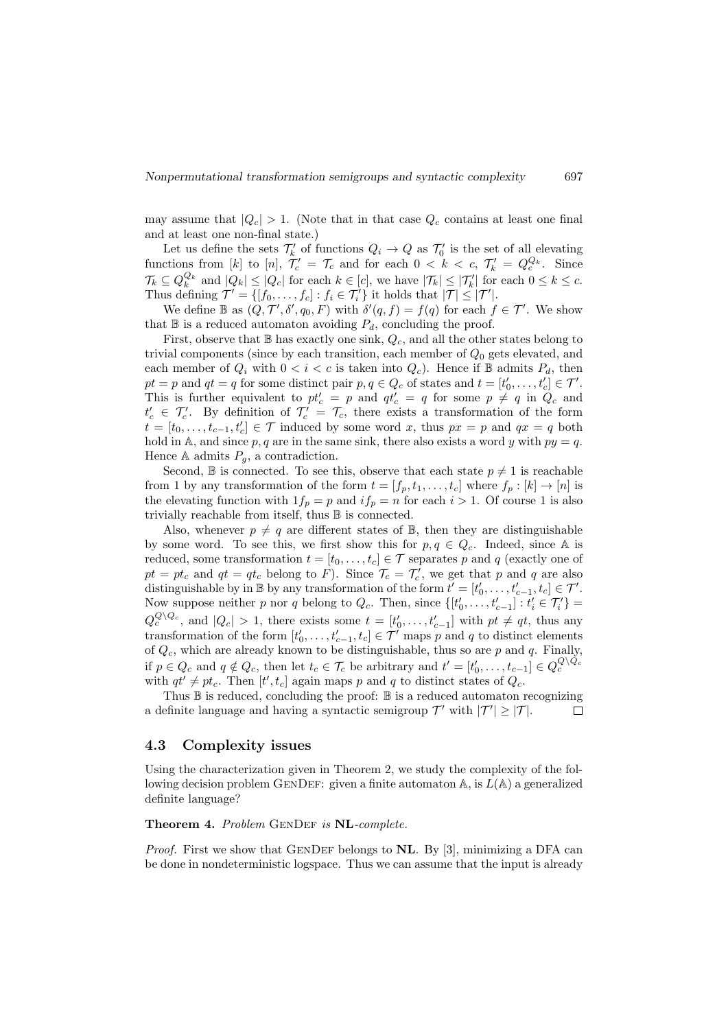may assume that  $|Q_c| > 1$ . (Note that in that case  $Q_c$  contains at least one final and at least one non-final state.)

Let us define the sets  $\mathcal{T}'_k$  of functions  $Q_i \to Q$  as  $\mathcal{T}'_0$  is the set of all elevating functions from [k] to [n],  $\mathcal{T}'_c = \mathcal{T}_c$  and for each  $0 < k < c$ ,  $\mathcal{T}'_k = Q_c^{Q_k}$ . Since  $\mathcal{T}_k \subseteq Q_k^{Q_k}$  and  $|Q_k| \leq |Q_c|$  for each  $k \in [c]$ , we have  $|\mathcal{T}_k| \leq |\mathcal{T}'_k|$  for each  $0 \leq k \leq c$ . Thus defining  $\mathcal{T}' = \{ [f_0, \ldots, f_c] : f_i \in \mathcal{T}'_i \}$  it holds that  $|\mathcal{T}| \leq |\mathcal{T}'|$ .

We define  $\mathbb B$  as  $(Q, \mathcal T', \delta', q_0, F)$  with  $\delta'(q, f) = f(q)$  for each  $f \in \mathcal T'$ . We show that  $\mathbb B$  is a reduced automaton avoiding  $P_d$ , concluding the proof.

First, observe that  $\mathbb B$  has exactly one sink,  $Q_c$ , and all the other states belong to trivial components (since by each transition, each member of  $Q_0$  gets elevated, and each member of  $Q_i$  with  $0 < i < c$  is taken into  $Q_c$ ). Hence if  $\mathbb B$  admits  $P_d$ , then  $pt = p$  and  $qt = q$  for some distinct pair  $p, q \in Q_c$  of states and  $t = [t'_0, \ldots, t'_c] \in \mathcal{T}'$ . This is further equivalent to  $pt'_{c} = p$  and  $qt'_{c} = q$  for some  $p \neq q$  in  $Q_{c}$  and  $t'_{c} \in \mathcal{T}'_{c}$ . By definition of  $\mathcal{T}'_{c} = \mathcal{T}_{c}$ , there exists a transformation of the form  $t = [t_0, \ldots, t_{c-1}, t'_c] \in \mathcal{T}$  induced by some word x, thus  $px = p$  and  $qx = q$  both hold in A, and since p, q are in the same sink, there also exists a word y with  $py = q$ . Hence A admits  $P_q$ , a contradiction.

Second, B is connected. To see this, observe that each state  $p \neq 1$  is reachable from 1 by any transformation of the form  $t = [f_p, t_1, \ldots, t_c]$  where  $f_p : [k] \to [n]$  is the elevating function with  $1f_p = p$  and  $if_p = n$  for each  $i > 1$ . Of course 1 is also trivially reachable from itself, thus B is connected.

Also, whenever  $p \neq q$  are different states of  $\mathbb{B}$ , then they are distinguishable by some word. To see this, we first show this for  $p, q \in Q_c$ . Indeed, since A is reduced, some transformation  $t = [t_0, \ldots, t_c] \in \mathcal{T}$  separates p and q (exactly one of  $pt = pt_c$  and  $qt = qt_c$  belong to F). Since  $\mathcal{T}_c = \mathcal{T}'_c$ , we get that p and q are also distinguishable by in  $\mathbb B$  by any transformation of the form  $t' = [t'_0, \ldots, t'_{c-1}, t_c] \in \mathcal T'.$ Now suppose neither p nor q belong to  $Q_c$ . Then, since  $\{[t'_0, \ldots, t'_{c-1}] : t'_i \in \mathcal{T}'_i\}$  $Q_c^{Q\setminus Q_c}$ , and  $|Q_c| > 1$ , there exists some  $t = [t'_0, \ldots, t'_{c-1}]$  with  $pt \neq qt$ , thus any transformation of the form  $[t'_0, \ldots, t'_{c-1}, t_c] \in \mathcal{T}'$  maps p and q to distinct elements of  $Q_c$ , which are already known to be distinguishable, thus so are p and q. Finally, if  $p \in Q_c$  and  $q \notin Q_c$ , then let  $t_c \in \mathcal{T}_c$  be arbitrary and  $t' = [t'_0, \ldots, t_{c-1}] \in Q_c^{Q \setminus Q_c}$ with  $qt' \neq pt_c$ . Then  $[t', t_c]$  again maps p and q to distinct states of  $Q_c$ .

Thus  $\mathbb B$  is reduced, concluding the proof:  $\mathbb B$  is a reduced automaton recognizing a definite language and having a syntactic semigroup  $\mathcal{T}'$  with  $|\mathcal{T}'| \geq |\mathcal{T}|$ .  $\Box$ 

#### 4.3 Complexity issues

Using the characterization given in Theorem 2, we study the complexity of the following decision problem GENDEF: given a finite automaton  $\mathbb{A}$ , is  $L(\mathbb{A})$  a generalized definite language?

#### Theorem 4. Problem GENDEF is NL-complete.

*Proof.* First we show that GENDEF belongs to  $NL$ . By [3], minimizing a DFA can be done in nondeterministic logspace. Thus we can assume that the input is already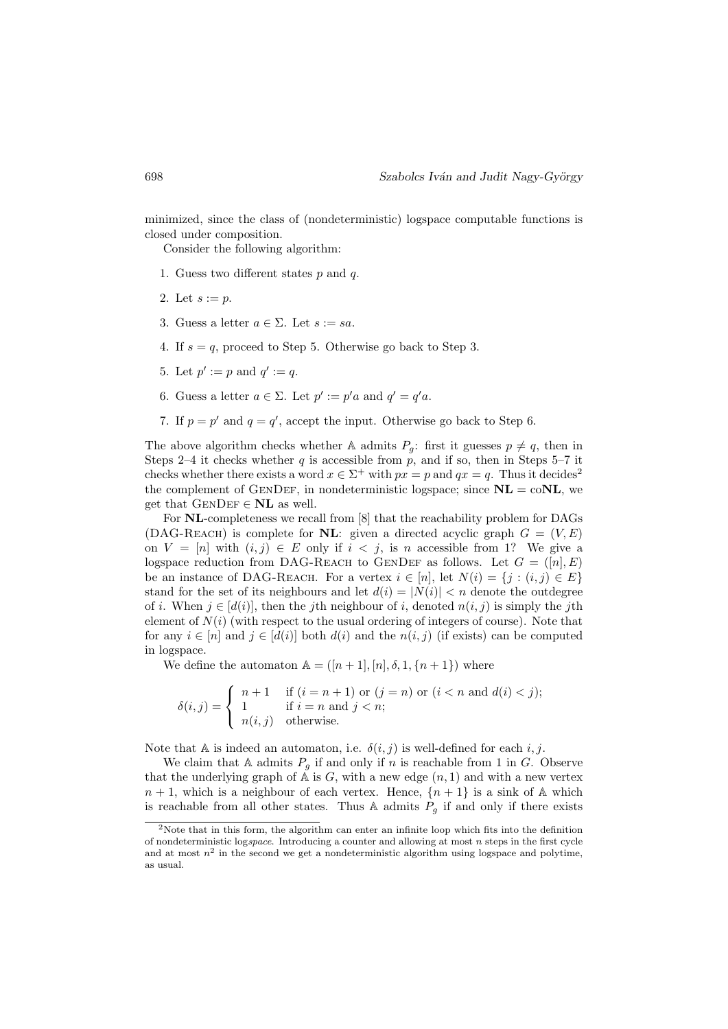minimized, since the class of (nondeterministic) logspace computable functions is closed under composition.

Consider the following algorithm:

- 1. Guess two different states  $p$  and  $q$ .
- 2. Let  $s := p$ .
- 3. Guess a letter  $a \in \Sigma$ . Let  $s := sa$ .
- 4. If  $s = q$ , proceed to Step 5. Otherwise go back to Step 3.
- 5. Let  $p' := p$  and  $q' := q$ .
- 6. Guess a letter  $a \in \Sigma$ . Let  $p' := p'a$  and  $q' = q'a$ .
- 7. If  $p = p'$  and  $q = q'$ , accept the input. Otherwise go back to Step 6.

The above algorithm checks whether A admits  $P_g$ : first it guesses  $p \neq q$ , then in Steps 2–4 it checks whether  $q$  is accessible from  $p$ , and if so, then in Steps 5–7 it checks whether there exists a word  $x \in \Sigma^+$  with  $px = p$  and  $qx = q$ . Thus it decides<sup>2</sup> the complement of GENDEF, in nondeterministic logspace; since  $\mathbf{NL} = \text{coNL}$ , we get that  $GENDEF \in NL$  as well.

For NL-completeness we recall from [8] that the reachability problem for DAGs (DAG-REACH) is complete for **NL**: given a directed acyclic graph  $G = (V, E)$ on  $V = [n]$  with  $(i, j) \in E$  only if  $i < j$ , is n accessible from 1? We give a logspace reduction from DAG-REACH to GENDEF as follows. Let  $G = ([n], E)$ be an instance of DAG-REACH. For a vertex  $i \in [n]$ , let  $N(i) = \{j : (i, j) \in E\}$ stand for the set of its neighbours and let  $d(i) = |N(i)| < n$  denote the outdegree of i. When  $j \in [d(i)]$ , then the jth neighbour of i, denoted  $n(i, j)$  is simply the jth element of  $N(i)$  (with respect to the usual ordering of integers of course). Note that for any  $i \in [n]$  and  $j \in [d(i)]$  both  $d(i)$  and the  $n(i, j)$  (if exists) can be computed in logspace.

We define the automaton  $A = (n+1, n], \delta, 1, \{n+1\})$  where

$$
\delta(i,j) = \begin{cases}\n n+1 & \text{if } (i=n+1) \text{ or } (j=n) \text{ or } (i < n \text{ and } d(i) < j); \\
1 & \text{if } i=n \text{ and } j < n; \\
n(i,j) & \text{otherwise.}\n\end{cases}
$$

Note that A is indeed an automaton, i.e.  $\delta(i, j)$  is well-defined for each i, j.

We claim that A admits  $P<sub>g</sub>$  if and only if n is reachable from 1 in G. Observe that the underlying graph of  $A$  is  $G$ , with a new edge  $(n, 1)$  and with a new vertex  $n+1$ , which is a neighbour of each vertex. Hence,  ${n+1}$  is a sink of A which is reachable from all other states. Thus A admits  $P<sub>g</sub>$  if and only if there exists

<sup>&</sup>lt;sup>2</sup>Note that in this form, the algorithm can enter an infinite loop which fits into the definition of nondeterministic logspace. Introducing a counter and allowing at most  $n$  steps in the first cycle and at most  $n^2$  in the second we get a nondeterministic algorithm using logspace and polytime, as usual.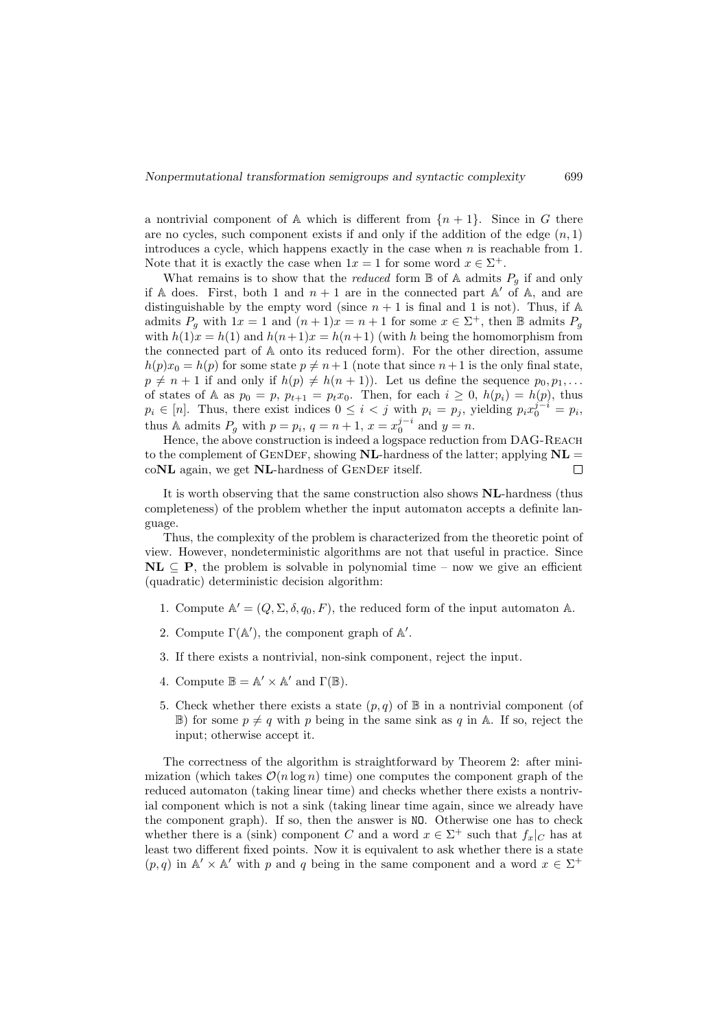a nontrivial component of A which is different from  ${n+1}$ . Since in G there are no cycles, such component exists if and only if the addition of the edge  $(n, 1)$ introduces a cycle, which happens exactly in the case when  $n$  is reachable from 1. Note that it is exactly the case when  $1x = 1$  for some word  $x \in \Sigma^{+}$ .

What remains is to show that the *reduced* form  $\mathbb B$  of A admits  $P_g$  if and only if A does. First, both 1 and  $n + 1$  are in the connected part A' of A, and are distinguishable by the empty word (since  $n + 1$  is final and 1 is not). Thus, if A admits  $P_g$  with  $1x = 1$  and  $(n+1)x = n+1$  for some  $x \in \Sigma^+$ , then  $\mathbb B$  admits  $P_g$ with  $h(1)x = h(1)$  and  $h(n+1)x = h(n+1)$  (with h being the homomorphism from the connected part of A onto its reduced form). For the other direction, assume  $h(p)x_0 = h(p)$  for some state  $p \neq n+1$  (note that since  $n+1$  is the only final state,  $p \neq n + 1$  if and only if  $h(p) \neq h(n + 1)$ ). Let us define the sequence  $p_0, p_1, \ldots$ of states of A as  $p_0 = p$ ,  $p_{t+1} = p_t x_0$ . Then, for each  $i \geq 0$ ,  $h(p_i) = h(p)$ , thus  $p_i \in [n]$ . Thus, there exist indices  $0 \leq i < j$  with  $p_i = p_j$ , yielding  $p_i x_0^{j-i} = p_i$ , thus A admits  $P_g$  with  $p = p_i$ ,  $q = n + 1$ ,  $x = x_0^{j-i}$  and  $y = n$ .

Hence, the above construction is indeed a logspace reduction from DAG-REACH to the complement of GENDEF, showing **NL**-hardness of the latter; applying  $\mathbf{NL} =$  $coNL$  again, we get  $NL$ -hardness of  $GENDEF$  itself.  $\Box$ 

It is worth observing that the same construction also shows  $NL$ -hardness (thus completeness) of the problem whether the input automaton accepts a definite language.

Thus, the complexity of the problem is characterized from the theoretic point of view. However, nondeterministic algorithms are not that useful in practice. Since  $\mathbf{NL} \subseteq \mathbf{P}$ , the problem is solvable in polynomial time – now we give an efficient (quadratic) deterministic decision algorithm:

- 1. Compute  $\mathbb{A}' = (Q, \Sigma, \delta, q_0, F)$ , the reduced form of the input automaton  $\mathbb{A}$ .
- 2. Compute  $\Gamma(\mathbb{A}'),$  the component graph of  $\mathbb{A}'.$
- 3. If there exists a nontrivial, non-sink component, reject the input.
- 4. Compute  $\mathbb{B} = \mathbb{A}' \times \mathbb{A}'$  and  $\Gamma(\mathbb{B})$ .
- 5. Check whether there exists a state  $(p, q)$  of  $\mathbb B$  in a nontrivial component (of  $\mathbb{B}$ ) for some  $p \neq q$  with p being in the same sink as q in A. If so, reject the input; otherwise accept it.

The correctness of the algorithm is straightforward by Theorem 2: after minimization (which takes  $\mathcal{O}(n \log n)$  time) one computes the component graph of the reduced automaton (taking linear time) and checks whether there exists a nontrivial component which is not a sink (taking linear time again, since we already have the component graph). If so, then the answer is NO. Otherwise one has to check whether there is a (sink) component C and a word  $x \in \Sigma^{+}$  such that  $f_x|_C$  has at least two different fixed points. Now it is equivalent to ask whether there is a state  $(p, q)$  in  $\mathbb{A}' \times \mathbb{A}'$  with p and q being in the same component and a word  $x \in \Sigma^+$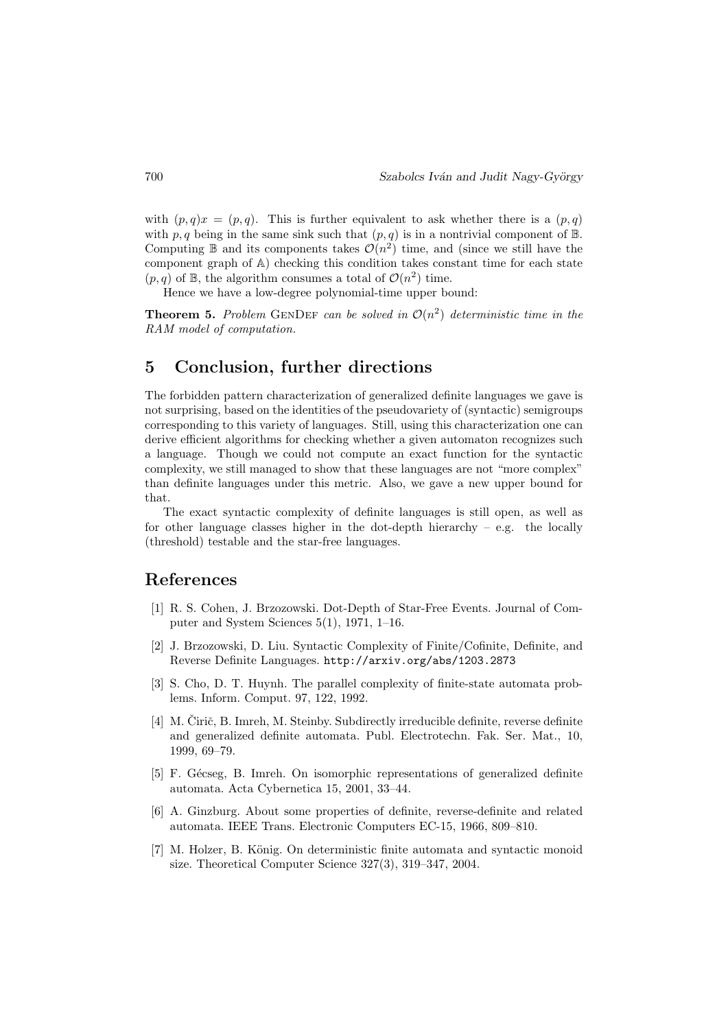with  $(p, q)x = (p, q)$ . This is further equivalent to ask whether there is a  $(p, q)$ with p, q being in the same sink such that  $(p, q)$  is in a nontrivial component of  $\mathbb{B}$ . Computing  $\mathbb B$  and its components takes  $\mathcal O(n^2)$  time, and (since we still have the component graph of A) checking this condition takes constant time for each state  $(p, q)$  of B, the algorithm consumes a total of  $\mathcal{O}(n^2)$  time.

Hence we have a low-degree polynomial-time upper bound:

**Theorem 5.** Problem GENDEF can be solved in  $\mathcal{O}(n^2)$  deterministic time in the RAM model of computation.

# 5 Conclusion, further directions

The forbidden pattern characterization of generalized definite languages we gave is not surprising, based on the identities of the pseudovariety of (syntactic) semigroups corresponding to this variety of languages. Still, using this characterization one can derive efficient algorithms for checking whether a given automaton recognizes such a language. Though we could not compute an exact function for the syntactic complexity, we still managed to show that these languages are not "more complex" than definite languages under this metric. Also, we gave a new upper bound for that.

The exact syntactic complexity of definite languages is still open, as well as for other language classes higher in the dot-depth hierarchy  $-$  e.g. the locally (threshold) testable and the star-free languages.

## References

- [1] R. S. Cohen, J. Brzozowski. Dot-Depth of Star-Free Events. Journal of Computer and System Sciences 5(1), 1971, 1–16.
- [2] J. Brzozowski, D. Liu. Syntactic Complexity of Finite/Cofinite, Definite, and Reverse Definite Languages. http://arxiv.org/abs/1203.2873
- [3] S. Cho, D. T. Huynh. The parallel complexity of finite-state automata problems. Inform. Comput. 97, 122, 1992.
- [4] M. Čirič, B. Imreh, M. Steinby. Subdirectly irreducible definite, reverse definite and generalized definite automata. Publ. Electrotechn. Fak. Ser. Mat., 10, 1999, 69–79.
- [5] F. Gécseg, B. Imreh. On isomorphic representations of generalized definite automata. Acta Cybernetica 15, 2001, 33–44.
- [6] A. Ginzburg. About some properties of definite, reverse-definite and related automata. IEEE Trans. Electronic Computers EC-15, 1966, 809–810.
- [7] M. Holzer, B. König. On deterministic finite automata and syntactic monoid size. Theoretical Computer Science 327(3), 319–347, 2004.